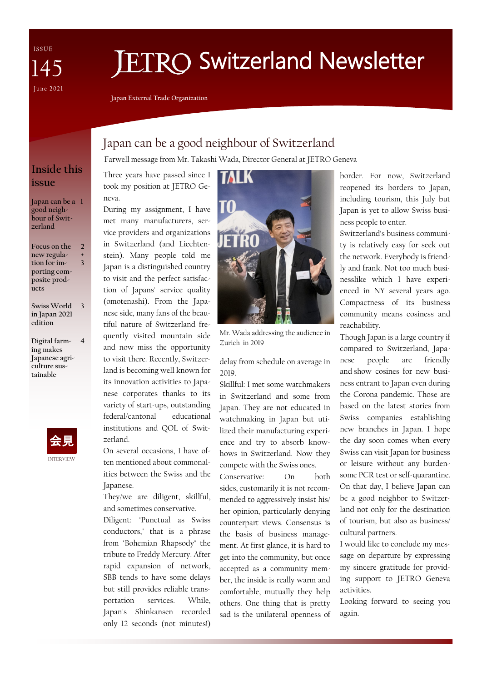ISSUE 145 **June 2021** 

# **FTRO Switzerland Newsletter**

**Japan External Trade Organization**

# Japan can be a good neighbour of Switzerland

Farwell message from Mr. Takashi Wada, Director General at JETRO Geneva

TO

Three years have passed since I took my position at JETRO Geneva.

During my assignment, I have met many manufacturers, service providers and organizations in Switzerland (and Liechtenstein). Many people told me Japan is a distinguished country to visit and the perfect satisfaction of Japans' service quality (omotenashi). From the Japanese side, many fans of the beautiful nature of Switzerland frequently visited mountain side and now miss the opportunity to visit there. Recently, Switzerland is becoming well known for its innovation activities to Japanese corporates thanks to its variety of start-ups, outstanding federal/cantonal educational institutions and QOL of Switzerland.

On several occasions, I have often mentioned about commonalities between the Swiss and the Japanese.

They/we are diligent, skillful, and sometimes conservative.

Diligent: "Punctual as Swiss conductors," that is a phrase from "Bohemian Rhapsody" the tribute to Freddy Mercury. After rapid expansion of network, SBB tends to have some delays but still provides reliable transportation services. While, Japan's Shinkansen recorded only 12 seconds (not minutes!)



Zurich in 2019

delay from schedule on average in 2019.

Skillful: I met some watchmakers in Switzerland and some from Japan. They are not educated in watchmaking in Japan but utilized their manufacturing experience and try to absorb knowhows in Switzerland. Now they compete with the Swiss ones.

Conservative: On both sides, customarily it is not recommended to aggressively insist his/ her opinion, particularly denying counterpart views. Consensus is the basis of business management. At first glance, it is hard to get into the community, but once accepted as a community member, the inside is really warm and comfortable, mutually they help others. One thing that is pretty sad is the unilateral openness of

border. For now, Switzerland reopened its borders to Japan, including tourism, this July but Japan is yet to allow Swiss business people to enter.

Switzerland's business community is relatively easy for seek out the network. Everybody is friendly and frank. Not too much businesslike which I have experienced in NY several years ago. Compactness of its business community means cosiness and reachability.

Though Japan is a large country if compared to Switzerland, Japanese people are friendly and show cosines for new business entrant to Japan even during the Corona pandemic. Those are based on the latest stories from Swiss companies establishing new branches in Japan. I hope the day soon comes when every Swiss can visit Japan for business or leisure without any burdensome PCR test or self-quarantine. On that day, I believe Japan can be a good neighbor to Switzerland not only for the destination of tourism, but also as business/ cultural partners.

I would like to conclude my message on departure by expressing my sincere gratitude for providing support to JETRO Geneva activities.

Looking forward to seeing you again.

## **Inside this issue**

**Japan can be a 1 good neighbour of Switzerland**

**Focus on the new regulation for importing composite products 2 + 3**

**Swiss World 3 in Japan 2021 edition**

**Digital farming makes Japanese agriculture sustainable 4**

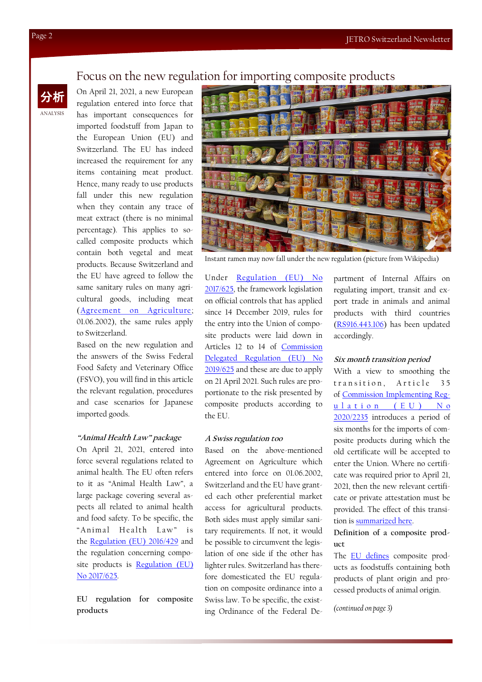## Focus on the new regulation for importing composite products

On April 21, 2021, a new European regulation entered into force that has important consequences for imported foodstuff from Japan to the European Union (EU) and Switzerland. The EU has indeed increased the requirement for any items containing meat product. Hence, many ready to use products fall under this new regulation when they contain any trace of meat extract (there is no minimal percentage). This applies to socalled composite products which contain both vegetal and meat products. Because Switzerland and the EU have agreed to follow the same sanitary rules on many agricultural goods, including meat ([Agreement on Agriculture;](https://www.blw.admin.ch/blw/en/home/international/institutionen/europaeische-union-eu/agrarabkommen.html)  01.06.2002), the same rules apply to Switzerland.

Based on the new regulation and the answers of the Swiss Federal Food Safety and Veterinary Office (FSVO), you will find in this article the relevant regulation, procedures and case scenarios for Japanese imported goods.

#### **"Animal Health Law" package**

On April 21, 2021, entered into force several regulations related to animal health. The EU often refers to it as "Animal Health Law", a large package covering several aspects all related to animal health and food safety. To be specific, the "Animal Health Law" is the [Regulation \(EU\) 2016/429](https://eur-lex.europa.eu/legal-content/EN/TXT/?uri=CELEX:02016R0429-20191214) and the regulation concerning composite products is [Regulation \(EU\)](https://eur-lex.europa.eu/eli/reg/2017/625/oj)  [No 2017/625.](https://eur-lex.europa.eu/eli/reg/2017/625/oj) 

**EU regulation for composite products**



Instant ramen may now fall under the new regulation (picture from Wikipedia)

Under [Regulation \(EU\) No](https://eur-lex.europa.eu/eli/reg/2017/625/oj)  [2017/625,](https://eur-lex.europa.eu/eli/reg/2017/625/oj) the framework legislation on official controls that has applied since 14 December 2019, rules for the entry into the Union of composite products were laid down in Articles 12 to 14 of [Commission](https://eur-lex.europa.eu/eli/reg_del/2019/625/oj)  [Delegated Regulation \(EU\) No](https://eur-lex.europa.eu/eli/reg_del/2019/625/oj)  [2019/625](https://eur-lex.europa.eu/eli/reg_del/2019/625/oj) and these are due to apply on 21 April 2021. Such rules are proportionate to the risk presented by composite products according to the EU.

### **A Swiss regulation too**

Based on the above-mentioned Agreement on Agriculture which entered into force on 01.06.2002, Switzerland and the EU have granted each other preferential market access for agricultural products. Both sides must apply similar sanitary requirements. If not, it would be possible to circumvent the legislation of one side if the other has lighter rules. Switzerland has therefore domesticated the EU regulation on composite ordinance into a Swiss law. To be specific, the existing Ordinance of the Federal De-

partment of Internal Affairs on regulating import, transit and export trade in animals and animal products with third countries [\(RS916.443.106\)](https://www.fedlex.admin.ch/eli/cc/2015/845/de) has been updated accordingly.

## **Six month transition period**

With a view to smoothing the transition. Article 35 of [Commission Implementing Reg-](https://eur-lex.europa.eu/eli/reg_impl/2020/2235/oj)ulation (E[U](https://eur-lex.europa.eu/eli/reg_impl/2020/2235/oj)) No [2020/2235](https://eur-lex.europa.eu/eli/reg_impl/2020/2235/oj) introduces a period of six months for the imports of composite products during which the old certificate will be accepted to enter the Union. Where no certificate was required prior to April 21, 2021, then the new relevant certificate or private attestation must be provided. The effect of this transition is [summarized here.](https://ec.europa.eu/food/system/files/2021-03/ia_ic_composite-prods_certification-transition-effect.pdf)

**Definition of a composite product**

The [EU defines](https://ec.europa.eu/food/horizontal-topics/international-affairs/import-conditions/special-eu-import-conditions-composite_en) composite products as foodstuffs containing both products of plant origin and processed products of animal origin.

*(continued on page 3)*

ANALYSIS 分析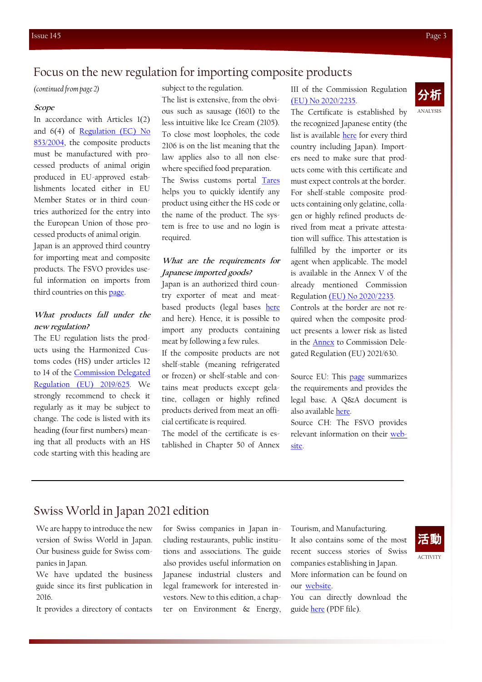## Focus on the new regulation for importing composite products

subject to the regulation.

*(continued from page 2)*

#### **Scope**

In accordance with Articles 1(2) and 6(4) of [Regulation \(EC\) No](https://eur-lex.europa.eu/eli/reg/2004/853/oj)  [853/2004,](https://eur-lex.europa.eu/eli/reg/2004/853/oj) the composite products must be manufactured with processed products of animal origin produced in EU-approved establishments located either in EU Member States or in third countries authorized for the entry into the European Union of those processed products of animal origin.

Japan is an approved third country for importing meat and composite products. The FSVO provides useful information on imports from third countries on this [page.](https://www.blv.admin.ch/blv/en/home/import-und-export/import/importe-aus-drittstaaten.html) 

## **What products fall under the new regulation?**

The EU regulation lists the products using the Harmonized Customs codes (HS) under articles 12 to 14 of the [Commission Delegated](https://eur-lex.europa.eu/eli/reg_del/2019/625/oj)  [Regulation \(EU\) 2019/625.](https://eur-lex.europa.eu/eli/reg_del/2019/625/oj) We strongly recommend to check it regularly as it may be subject to change. The code is listed with its heading (four first numbers) meaning that all products with an HS code starting with this heading are The list is extensive, from the obvious such as sausage (1601) to the less intuitive like Ice Cream (2105). To close most loopholes, the code 2106 is on the list meaning that the law applies also to all non else-

where specified food preparation. The Swiss customs portal [Tares](https://xtares.admin.ch/tares/login/loginFormFiller.do;jsessionid=oWpb7032QJANE5jweo2IE4spIQz-t9HZhbsS0tuI2K4u_ecaaWTy!233221676) helps you to quickly identify any product using either the HS code or the name of the product. The system is free to use and no login is required.

## **What are the requirements for Japanese imported goods?**

Japan is an authorized third country exporter of meat and meatbased products (legal bases [here](https://ec.europa.eu/food/system/files/2021-04/ia_ic_composite-prods_c2021-404.pdf) and here). Hence, it is possible to import any products containing meat by following a few rules.

If the composite products are not shelf-stable (meaning refrigerated or frozen) or shelf-stable and contains meat products except gelatine, collagen or highly refined products derived from meat an official certificate is required.

The model of the certificate is established in Chapter 50 of Annex III of the Commission Regulation [\(EU\) No 2020/2235.](https://eur-lex.europa.eu/eli/reg_impl/2020/2235/oj)

ANALYSIS 分析

The Certificate is established by the recognized Japanese entity (the list is available [here](https://webgate.ec.europa.eu/sanco/traces/output/non_eu_listsPerCountry_en.htm) for every third country including Japan). Importers need to make sure that products come with this certificate and must expect controls at the border. For shelf-stable composite products containing only gelatine, collagen or highly refined products derived from meat a private attestation will suffice. This attestation is fulfilled by the importer or its agent when applicable. The model is available in the Annex V of the already mentioned Commission Regulation [\(EU\) No 2020/2235.](https://eur-lex.europa.eu/eli/reg_impl/2020/2235/oj) Controls at the border are not required when the composite product presents a lower risk as listed in the [Annex](https://ec.europa.eu/food/system/files/2021-04/ia_ic_composite-prods_c2021-0899_sante-7126-2020_annex.pdf) to Commission Delegated Regulation (EU) 2021/630.

Source EU: This [page](https://ec.europa.eu/food/horizontal-topics/international-affairs/import-conditions/eu-import-conditions-composite-products_en) summarizes the requirements and provides the legal base. A Q&A document is also available [here.](https://ec.europa.eu/food/system/files/2021-06/ia_ic_composite-prods_qandas.pdf)

Source CH: The FSVO provides relevant information on their [web](https://www.blv.admin.ch/blv/en/home/import-und-export/import/importe-aus-drittstaaten.html)[site.](https://www.blv.admin.ch/blv/en/home/import-und-export/import/importe-aus-drittstaaten.html) 

# Swiss World in Japan 2021 edition

We are happy to introduce the new version of Swiss World in Japan. Our business guide for Swiss companies in Japan.

We have updated the business guide since its first publication in 2016.

It provides a directory of contacts

for Swiss companies in Japan including restaurants, public institutions and associations. The guide also provides useful information on Japanese industrial clusters and legal framework for interested investors. New to this edition, a chapter on Environment & Energy,

Tourism, and Manufacturing. It also contains some of the most recent success stories of Swiss companies establishing in Japan. More information can be found on our [website.](https://www.jetro.go.jp/switzerland/whyjapan.html)

You can directly download the guide [here](https://www.jetro.go.jp/ext_images/switzerland/Publications/SwissWorldinJapan2021.pdf) (PDF file).